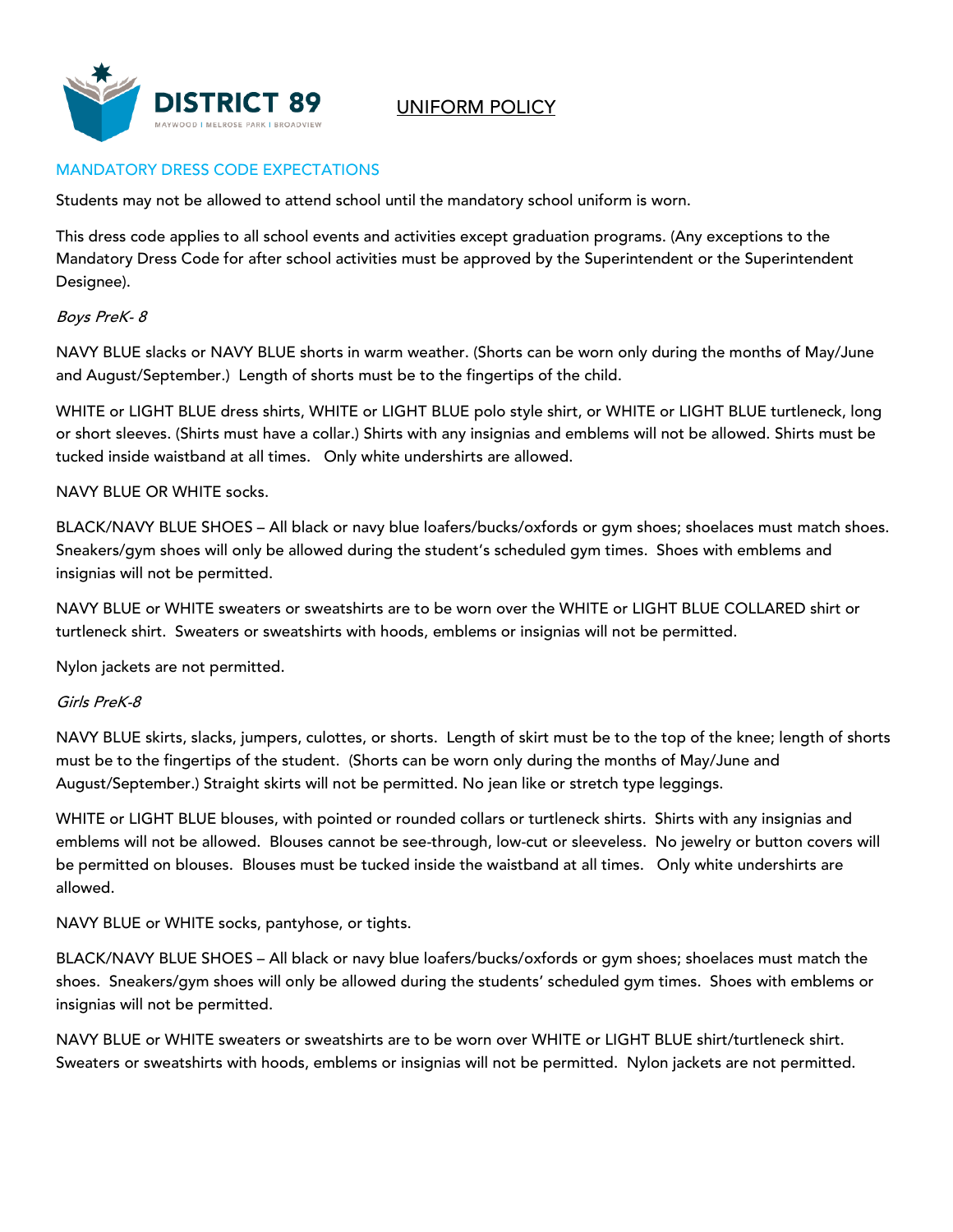

UNIFORM POLICY

## MANDATORY DRESS CODE EXPECTATIONS

Students may not be allowed to attend school until the mandatory school uniform is worn.

This dress code applies to all school events and activities except graduation programs. (Any exceptions to the Mandatory Dress Code for after school activities must be approved by the Superintendent or the Superintendent Designee).

### Boys PreK- 8

NAVY BLUE slacks or NAVY BLUE shorts in warm weather. (Shorts can be worn only during the months of May/June and August/September.) Length of shorts must be to the fingertips of the child.

WHITE or LIGHT BLUE dress shirts, WHITE or LIGHT BLUE polo style shirt, or WHITE or LIGHT BLUE turtleneck, long or short sleeves. (Shirts must have a collar.) Shirts with any insignias and emblems will not be allowed. Shirts must be tucked inside waistband at all times. Only white undershirts are allowed.

### NAVY BLUE OR WHITE socks.

BLACK/NAVY BLUE SHOES - All black or navy blue loafers/bucks/oxfords or gym shoes; shoelaces must match shoes. Sneakers/gym shoes will only be allowed during the student's scheduled gym times. Shoes with emblems and insignias will not be permitted.

NAVY BLUE or WHITE sweaters or sweatshirts are to be worn over the WHITE or LIGHT BLUE COLLARED shirt or turtleneck shirt. Sweaters or sweatshirts with hoods, emblems or insignias will not be permitted.

Nylon jackets are not permitted.

#### Girls PreK-8

NAVY BLUE skirts, slacks, jumpers, culottes, or shorts. Length of skirt must be to the top of the knee; length of shorts must be to the fingertips of the student. (Shorts can be worn only during the months of May/June and August/September.) Straight skirts will not be permitted. No jean like or stretch type leggings.

WHITE or LIGHT BLUE blouses, with pointed or rounded collars or turtleneck shirts. Shirts with any insignias and emblems will not be allowed. Blouses cannot be see-through, low-cut or sleeveless. No jewelry or button covers will be permitted on blouses. Blouses must be tucked inside the waistband at all times. Only white undershirts are allowed.

NAVY BLUE or WHITE socks, pantyhose, or tights.

BLACK/NAVY BLUE SHOES – All black or navy blue loafers/bucks/oxfords or gym shoes; shoelaces must match the shoes. Sneakers/gym shoes will only be allowed during the students' scheduled gym times. Shoes with emblems or insignias will not be permitted.

NAVY BLUE or WHITE sweaters or sweatshirts are to be worn over WHITE or LIGHT BLUE shirt/turtleneck shirt. Sweaters or sweatshirts with hoods, emblems or insignias will not be permitted. Nylon jackets are not permitted.